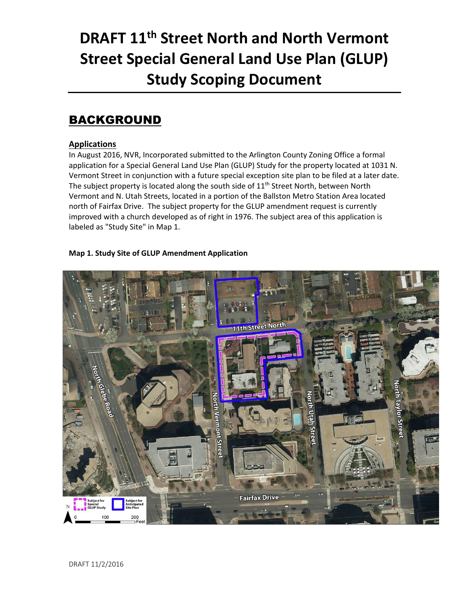# **DRAFT 11th Street North and North Vermont Street Special General Land Use Plan (GLUP) Study Scoping Document**

#### BACKGROUND

#### **Applications**

In August 2016, NVR, Incorporated submitted to the Arlington County Zoning Office a formal application for a Special General Land Use Plan (GLUP) Study for the property located at 1031 N. Vermont Street in conjunction with a future special exception site plan to be filed at a later date. The subject property is located along the south side of  $11<sup>th</sup>$  Street North, between North Vermont and N. Utah Streets, located in a portion of the Ballston Metro Station Area located north of Fairfax Drive. The subject property for the GLUP amendment request is currently improved with a church developed as of right in 1976. The subject area of this application is labeled as "Study Site" in Map 1.

#### **Map 1. Study Site of GLUP Amendment Application**

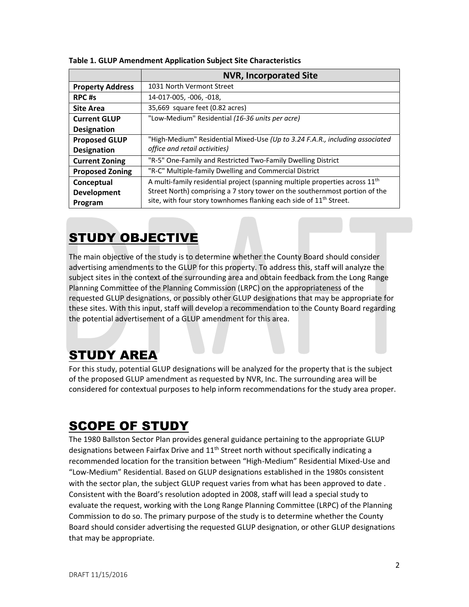|                         | <b>NVR, Incorporated Site</b>                                                  |  |  |  |
|-------------------------|--------------------------------------------------------------------------------|--|--|--|
| <b>Property Address</b> | 1031 North Vermont Street                                                      |  |  |  |
| RPC#s                   | 14-017-005, -006, -018,                                                        |  |  |  |
| <b>Site Area</b>        | 35,669 square feet (0.82 acres)                                                |  |  |  |
| <b>Current GLUP</b>     | "Low-Medium" Residential (16-36 units per acre)                                |  |  |  |
| <b>Designation</b>      |                                                                                |  |  |  |
| <b>Proposed GLUP</b>    | "High-Medium" Residential Mixed-Use (Up to 3.24 F.A.R., including associated   |  |  |  |
| <b>Designation</b>      | office and retail activities)                                                  |  |  |  |
| <b>Current Zoning</b>   | "R-5" One-Family and Restricted Two-Family Dwelling District                   |  |  |  |
| <b>Proposed Zoning</b>  | "R-C" Multiple-family Dwelling and Commercial District                         |  |  |  |
| Conceptual              | A multi-family residential project (spanning multiple properties across $11th$ |  |  |  |
| <b>Development</b>      | Street North) comprising a 7 story tower on the southernmost portion of the    |  |  |  |
| Program                 | site, with four story townhomes flanking each side of 11 <sup>th</sup> Street. |  |  |  |

**Table 1. GLUP Amendment Application Subject Site Characteristics** 

### STUDY OBJECTIVE

The main objective of the study is to determine whether the County Board should consider advertising amendments to the GLUP for this property. To address this, staff will analyze the subject sites in the context of the surrounding area and obtain feedback from the Long Range Planning Committee of the Planning Commission (LRPC) on the appropriateness of the requested GLUP designations, or possibly other GLUP designations that may be appropriate for these sites. With this input, staff will develop a recommendation to the County Board regarding the potential advertisement of a GLUP amendment for this area.

### STUDY AREA

For this study, potential GLUP designations will be analyzed for the property that is the subject of the proposed GLUP amendment as requested by NVR, Inc. The surrounding area will be considered for contextual purposes to help inform recommendations for the study area proper.

## SCOPE OF STUDY

The 1980 Ballston Sector Plan provides general guidance pertaining to the appropriate GLUP designations between Fairfax Drive and 11<sup>th</sup> Street north without specifically indicating a recommended location for the transition between "High-Medium" Residential Mixed-Use and "Low-Medium" Residential. Based on GLUP designations established in the 1980s consistent with the sector plan, the subject GLUP request varies from what has been approved to date . Consistent with the Board's resolution adopted in 2008, staff will lead a special study to evaluate the request, working with the Long Range Planning Committee (LRPC) of the Planning Commission to do so. The primary purpose of the study is to determine whether the County Board should consider advertising the requested GLUP designation, or other GLUP designations that may be appropriate.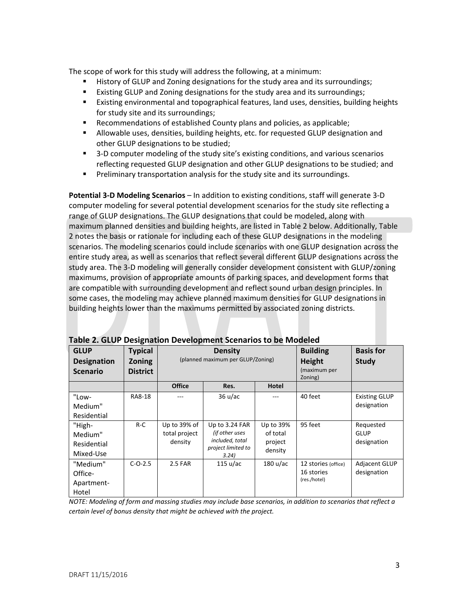The scope of work for this study will address the following, at a minimum:

- History of GLUP and Zoning designations for the study area and its surroundings;
- **Existing GLUP and Zoning designations for the study area and its surroundings;**
- Existing environmental and topographical features, land uses, densities, building heights for study site and its surroundings;
- Recommendations of established County plans and policies, as applicable;
- Allowable uses, densities, building heights, etc. for requested GLUP designation and other GLUP designations to be studied;
- 3-D computer modeling of the study site's existing conditions, and various scenarios reflecting requested GLUP designation and other GLUP designations to be studied; and
- Preliminary transportation analysis for the study site and its surroundings.

**Potential 3-D Modeling Scenarios** – In addition to existing conditions, staff will generate 3-D computer modeling for several potential development scenarios for the study site reflecting a range of GLUP designations. The GLUP designations that could be modeled, along with maximum planned densities and building heights, are listed in Table 2 below. Additionally, Table 2 notes the basis or rationale for including each of these GLUP designations in the modeling scenarios. The modeling scenarios could include scenarios with one GLUP designation across the entire study area, as well as scenarios that reflect several different GLUP designations across the study area. The 3-D modeling will generally consider development consistent with GLUP/zoning maximums, provision of appropriate amounts of parking spaces, and development forms that are compatible with surrounding development and reflect sound urban design principles. In some cases, the modeling may achieve planned maximum densities for GLUP designations in building heights lower than the maximums permitted by associated zoning districts.

| rapic 2. GEOT Designation Development Stenarios to be iviouered |                                                    |                                                     |                             |                    |                                                  |                                  |  |
|-----------------------------------------------------------------|----------------------------------------------------|-----------------------------------------------------|-----------------------------|--------------------|--------------------------------------------------|----------------------------------|--|
| <b>GLUP</b><br><b>Designation</b><br><b>Scenario</b>            | <b>Typical</b><br><b>Zoning</b><br><b>District</b> | <b>Density</b><br>(planned maximum per GLUP/Zoning) |                             |                    | <b>Building</b><br><b>Height</b><br>(maximum per | <b>Basis for</b><br><b>Study</b> |  |
|                                                                 |                                                    |                                                     |                             |                    | Zoning)                                          |                                  |  |
|                                                                 |                                                    | <b>Office</b>                                       | Res.                        | Hotel              |                                                  |                                  |  |
| "Low-                                                           | RA8-18                                             |                                                     | 36 u/ac                     | ---                | 40 feet                                          | <b>Existing GLUP</b>             |  |
| Medium"                                                         |                                                    |                                                     |                             |                    |                                                  | designation                      |  |
| Residential                                                     |                                                    |                                                     |                             |                    |                                                  |                                  |  |
| "High-                                                          | $R-C$                                              | Up to 39% of                                        | Up to 3.24 FAR              | Up to 39%          | 95 feet                                          | Requested                        |  |
| Medium"                                                         |                                                    | total project                                       | (if other uses              | of total           |                                                  | <b>GLUP</b>                      |  |
| Residential                                                     |                                                    | density                                             | included, total             | project            |                                                  | designation                      |  |
| Mixed-Use                                                       |                                                    |                                                     | project limited to<br>3.24) | density            |                                                  |                                  |  |
| "Medium"                                                        | $C-O-2.5$                                          | 2.5 FAR                                             | 115 u/ac                    | $180 \text{ u/ac}$ | 12 stories (office)                              | Adjacent GLUP                    |  |
| Office-                                                         |                                                    |                                                     |                             |                    | 16 stories                                       | designation                      |  |
| Apartment-                                                      |                                                    |                                                     |                             |                    | (res./hotel)                                     |                                  |  |
| Hotel                                                           |                                                    |                                                     |                             |                    |                                                  |                                  |  |

**Table 2. GLUP Designation Development Scenarios to be Modeled** 

*NOTE: Modeling of form and massing studies may include base scenarios, in addition to scenarios that reflect a certain level of bonus density that might be achieved with the project.*